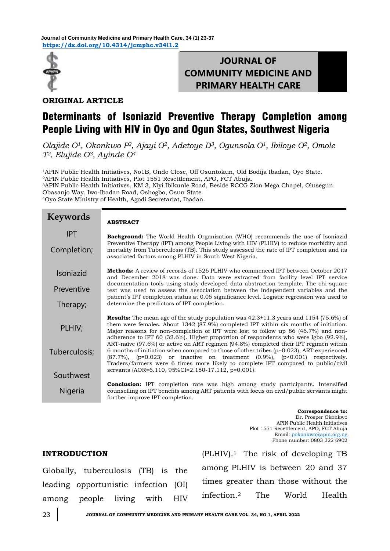

# **JOURNAL OF COMMUNITY MEDICINE AND PRIMARY HEALTH CARE**

### **ORIGINAL ARTICLE**

# Determinants of Isoniazid Preventive Therapy Completion among People Living with HIV in Oyo and Ogun States, Southwest Nigeria

*Olajide O1, Okonkwo P2, Ajayi O2, Adetoye D3, Ogunsola O1, Ibiloye O2, Omole T2, Elujide O3, Ayinde O<sup>4</sup>*

APIN Public Health Initiatives, No1B, Ondo Close, Off Osuntokun, Old Bodija Ibadan, Oyo State. APIN Public Health Initiatives, Plot 1551 Resettlement, APO, FCT Abuja. APIN Public Health Initiatives, KM 3, Niyi Ibikunle Road, Beside RCCG Zion Mega Chapel, Olusegun Obasanjo Way, Iwo-Ibadan Road, Oshogbo, Osun State. Oyo State Ministry of Health, Agodi Secretariat, Ibadan.

#### **ABSTRACT Background:** The World Health Organization (WHO) recommends the use of Isoniazid Preventive Therapy (IPT) among People Living with HIV (PLHIV) to reduce morbidity and mortality from Tuberculosis (TB). This study assessed the rate of IPT completion and its associated factors among PLHIV in South West Nigeria. **Methods:** A review of records of 1526 PLHIV who commenced IPT between October 2017 and December 2018 was done. Data were extracted from facility level IPT service documentation tools using study-developed data abstraction template. The chi-square test was used to assess the association between the independent variables and the patient's IPT completion status at 0.05 significance level. Logistic regression was used to determine the predictors of IPT completion. **Results:** The mean age of the study population was 42.3±11.3 years and 1154 (75.6%) of them were females. About 1342 (87.9%) completed IPT within six months of initiation. Major reasons for non-completion of IPT were lost to follow up 86 (46.7%) and nonadherence to IPT 60 (32.6%). Higher proportion of respondents who were Igbo (92.9%), ART-naïve (97.6%) or active on ART regimen (94.8%) completed their IPT regimen within 6 months of initiation when compared to those of other tribes  $(p=0.023)$ , ART experienced  $(87.7%)$ ,  $(p=0.023)$  or inactive on treatment  $(0.9%)$ ,  $(p<0.001)$  respectively. Traders/farmers were 6 times more likely to complete IPT compared to public/civil servants (AOR=6.110, 95%CI=2.180-17.112, p=0.001). **Conclusion:** IPT completion rate was high among study participants. Intensified counselling on IPT benefits among ART patients with focus on civil/public servants might further improve IPT completion. **Keywords** IPT Completion; Isoniazid **Preventive** Therapy; PLHIV; Tuberculosis; Southwest Nigeria

**Correspondence to:**  Dr. Prosper Okonkwo APIN Public Health Initiatives Plot 1551 Resettlement, APO, FCT Abuja Email[: pokonkwo@apin.org.ng](mailto:pokonkwo@apin.org.ng)  Phone number: 0803 322 6902

### **INTRODUCTION**

Globally, tuberculosis (TB) is the leading opportunistic infection (OI) among people living with HIV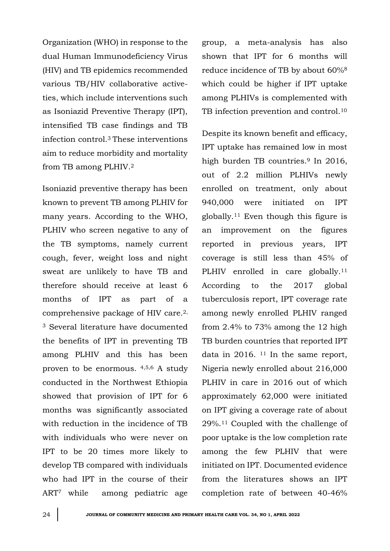Organization (WHO) in response to the dual Human Immunodeficiency Virus (HIV) and TB epidemics recommended various TB/HIV collaborative activeties, which include interventions such as Isoniazid Preventive Therapy (IPT), intensified TB case findings and TB infection control.<sup>3</sup> These interventions aim to reduce morbidity and mortality from TB among PLHIV.<sup>2</sup>

Isoniazid preventive therapy has been known to prevent TB among PLHIV for many years. According to the WHO, PLHIV who screen negative to any of the TB symptoms, namely current cough, fever, weight loss and night sweat are unlikely to have TB and therefore should receive at least 6 months of IPT as part of a comprehensive package of HIV care.2, <sup>3</sup> Several literature have documented the benefits of IPT in preventing TB among PLHIV and this has been proven to be enormous. 4,5,6 A study conducted in the Northwest Ethiopia showed that provision of IPT for 6 months was significantly associated with reduction in the incidence of TB with individuals who were never on IPT to be 20 times more likely to develop TB compared with individuals who had IPT in the course of their ART<sup>7</sup> while among pediatric age

group, a meta-analysis has also shown that IPT for 6 months will reduce incidence of TB by about 60%<sup>8</sup> which could be higher if IPT uptake among PLHIVs is complemented with TB infection prevention and control.<sup>10</sup>

Despite its known benefit and efficacy, IPT uptake has remained low in most high burden TB countries.<sup>9</sup> In 2016, out of 2.2 million PLHIVs newly enrolled on treatment, only about 940,000 were initiated on IPT globally.<sup>11</sup> Even though this figure is an improvement on the figures reported in previous years, IPT coverage is still less than 45% of PLHIV enrolled in care globally.<sup>11</sup> According to the 2017 global tuberculosis report, IPT coverage rate among newly enrolled PLHIV ranged from 2.4% to 73% among the 12 high TB burden countries that reported IPT data in 2016.  $11$  In the same report, Nigeria newly enrolled about 216,000 PLHIV in care in 2016 out of which approximately 62,000 were initiated on IPT giving a coverage rate of about 29%.<sup>11</sup> Coupled with the challenge of poor uptake is the low completion rate among the few PLHIV that were initiated on IPT. Documented evidence from the literatures shows an IPT completion rate of between 40-46%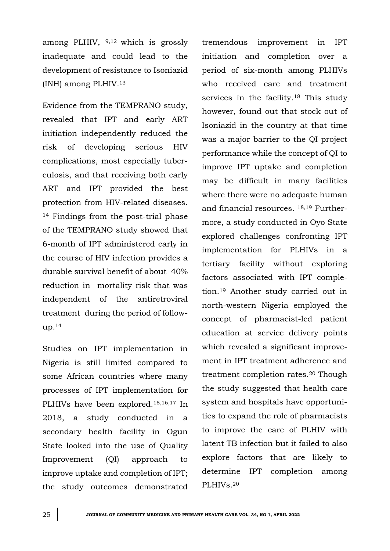among PLHIV, 9,12 which is grossly inadequate and could lead to the development of resistance to Isoniazid (INH) among PLHIV.<sup>13</sup>

Evidence from the TEMPRANO study, revealed that IPT and early ART initiation independently reduced the risk of developing serious HIV complications, most especially tuberculosis, and that receiving both early ART and IPT provided the best protection from HIV-related diseases. <sup>14</sup> Findings from the post-trial phase of the TEMPRANO study showed that 6-month of IPT administered early in the course of HIV infection provides a durable survival benefit of about 40% reduction in mortality risk that was independent of the antiretroviral treatment during the period of follow $up.<sup>14</sup>$ 

Studies on IPT implementation in Nigeria is still limited compared to some African countries where many processes of IPT implementation for PLHIVs have been explored.15,16,17 In 2018, a study conducted in a secondary health facility in Ogun State looked into the use of Quality Improvement (QI) approach to improve uptake and completion of IPT; the study outcomes demonstrated tremendous improvement in IPT initiation and completion over a period of six-month among PLHIVs who received care and treatment services in the facility.<sup>18</sup> This study however, found out that stock out of Isoniazid in the country at that time was a major barrier to the QI project performance while the concept of QI to improve IPT uptake and completion may be difficult in many facilities where there were no adequate human and financial resources. 18,19 Furthermore, a study conducted in Oyo State explored challenges confronting IPT implementation for PLHIVs in a tertiary facility without exploring factors associated with IPT completion.<sup>19</sup> Another study carried out in north-western Nigeria employed the concept of pharmacist-led patient education at service delivery points which revealed a significant improvement in IPT treatment adherence and treatment completion rates.<sup>20</sup> Though the study suggested that health care system and hospitals have opportunities to expand the role of pharmacists to improve the care of PLHIV with latent TB infection but it failed to also explore factors that are likely to determine IPT completion among PLHIVs.20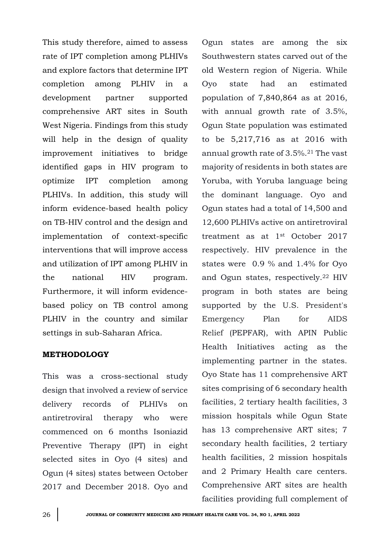This study therefore, aimed to assess rate of IPT completion among PLHIVs and explore factors that determine IPT completion among PLHIV in a development partner supported comprehensive ART sites in South West Nigeria. Findings from this study will help in the design of quality improvement initiatives to bridge identified gaps in HIV program to optimize IPT completion among PLHIVs. In addition, this study will inform evidence-based health policy on TB-HIV control and the design and implementation of context-specific interventions that will improve access and utilization of IPT among PLHIV in the national HIV program. Furthermore, it will inform evidencebased policy on TB control among PLHIV in the country and similar settings in sub-Saharan Africa.

### **METHODOLOGY**

This was a cross-sectional study design that involved a review of service delivery records of PLHIVs on antiretroviral therapy who were commenced on 6 months Isoniazid Preventive Therapy (IPT) in eight selected sites in Oyo (4 sites) and Ogun (4 sites) states between October 2017 and December 2018. Oyo and

Ogun states are among the six Southwestern states carved out of the old Western region of Nigeria. While Oyo state had an estimated population of 7,840,864 as at 2016, with annual growth rate of 3.5%, Ogun State population was estimated to be 5,217,716 as at 2016 with annual growth rate of 3.5%.<sup>21</sup> The vast majority of residents in both states are Yoruba, with Yoruba language being the dominant language. Oyo and Ogun states had a total of 14,500 and 12,600 PLHIVs active on antiretroviral treatment as at 1st October 2017 respectively. HIV prevalence in the states were 0.9 % and 1.4% for Oyo and Ogun states, respectively.<sup>22</sup> HIV program in both states are being supported by the U.S. President's Emergency Plan for AIDS Relief (PEPFAR), with APIN Public Health Initiatives acting as the implementing partner in the states. Oyo State has 11 comprehensive ART sites comprising of 6 secondary health facilities, 2 tertiary health facilities, 3 mission hospitals while Ogun State has 13 comprehensive ART sites; 7 secondary health facilities, 2 tertiary health facilities, 2 mission hospitals and 2 Primary Health care centers. Comprehensive ART sites are health facilities providing full complement of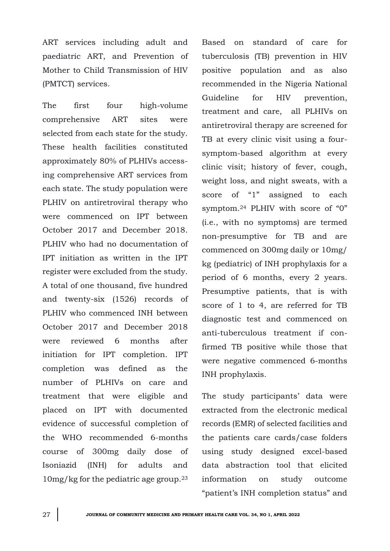ART services including adult and paediatric ART, and Prevention of Mother to Child Transmission of HIV (PMTCT) services.

The first four high-volume comprehensive ART sites were selected from each state for the study. These health facilities constituted approximately 80% of PLHIVs accessing comprehensive ART services from each state. The study population were PLHIV on antiretroviral therapy who were commenced on IPT between October 2017 and December 2018. PLHIV who had no documentation of IPT initiation as written in the IPT register were excluded from the study. A total of one thousand, five hundred and twenty-six (1526) records of PLHIV who commenced INH between October 2017 and December 2018 were reviewed 6 months after initiation for IPT completion. IPT completion was defined as the number of PLHIVs on care and treatment that were eligible and placed on IPT with documented evidence of successful completion of the WHO recommended 6-months course of 300mg daily dose of Isoniazid (INH) for adults and 10mg/kg for the pediatric age group.<sup>23</sup>

Based on standard of care for tuberculosis (TB) prevention in HIV positive population and as also recommended in the Nigeria National Guideline for HIV prevention, treatment and care, all PLHIVs on antiretroviral therapy are screened for TB at every clinic visit using a foursymptom-based algorithm at every clinic visit; history of fever, cough, weight loss, and night sweats, with a score of "1" assigned to each symptom.<sup>24</sup> PLHIV with score of "0" (i.e., with no symptoms) are termed non-presumptive for TB and are commenced on 300mg daily or 10mg/ kg (pediatric) of INH prophylaxis for a period of 6 months, every 2 years. Presumptive patients, that is with score of 1 to 4, are referred for TB diagnostic test and commenced on anti-tuberculous treatment if confirmed TB positive while those that were negative commenced 6-months INH prophylaxis.

The study participants' data were extracted from the electronic medical records (EMR) of selected facilities and the patients care cards/case folders using study designed excel-based data abstraction tool that elicited information on study outcome "patient's INH completion status" and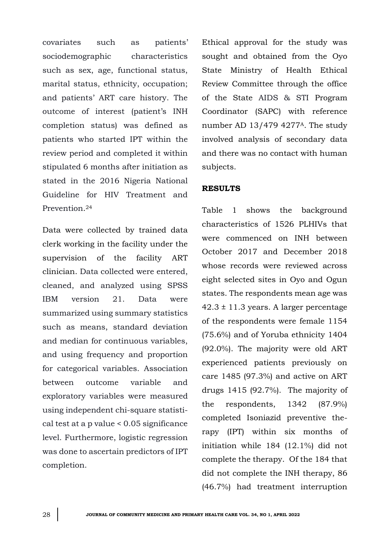covariates such as patients' sociodemographic characteristics such as sex, age, functional status, marital status, ethnicity, occupation; and patients' ART care history. The outcome of interest (patient's INH completion status) was defined as patients who started IPT within the review period and completed it within stipulated 6 months after initiation as stated in the 2016 Nigeria National Guideline for HIV Treatment and Prevention. 24

Data were collected by trained data clerk working in the facility under the supervision of the facility ART clinician. Data collected were entered, cleaned, and analyzed using SPSS IBM version 21. Data were summarized using summary statistics such as means, standard deviation and median for continuous variables, and using frequency and proportion for categorical variables. Association between outcome variable and exploratory variables were measured using independent chi-square statistical test at a p value < 0.05 significance level. Furthermore, logistic regression was done to ascertain predictors of IPT completion.

Ethical approval for the study was sought and obtained from the Oyo State Ministry of Health Ethical Review Committee through the office of the State AIDS & STI Program Coordinator (SAPC) with reference number AD 13/479 4277A. The study involved analysis of secondary data and there was no contact with human subjects.

### **RESULTS**

Table 1 shows the background characteristics of 1526 PLHIVs that were commenced on INH between October 2017 and December 2018 whose records were reviewed across eight selected sites in Oyo and Ogun states. The respondents mean age was  $42.3 \pm 11.3$  years. A larger percentage of the respondents were female 1154 (75.6%) and of Yoruba ethnicity 1404 (92.0%). The majority were old ART experienced patients previously on care 1485 (97.3%) and active on ART drugs 1415 (92.7%). The majority of the respondents, 1342 (87.9%) completed Isoniazid preventive therapy (IPT) within six months of initiation while 184 (12.1%) did not complete the therapy. Of the 184 that did not complete the INH therapy, 86 (46.7%) had treatment interruption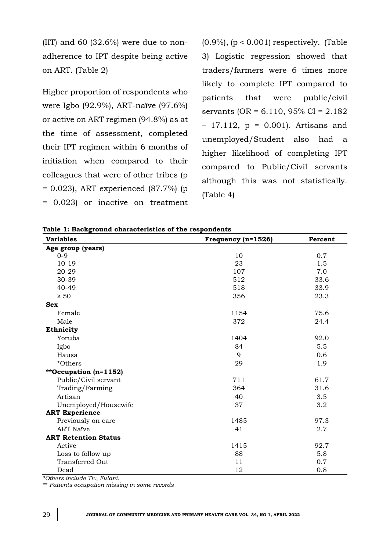(IIT) and 60  $(32.6\%)$  were due to nonadherence to IPT despite being active on ART. (Table 2)

Higher proportion of respondents who were Igbo (92.9%), ART-naïve (97.6%) or active on ART regimen (94.8%) as at the time of assessment, completed their IPT regimen within 6 months of initiation when compared to their colleagues that were of other tribes (p = 0.023), ART experienced (87.7%) (p = 0.023) or inactive on treatment

 $(0.9\%)$ ,  $(p < 0.001)$  respectively. (Table 3) Logistic regression showed that traders/farmers were 6 times more likely to complete IPT compared to patients that were public/civil servants (OR =  $6.110$ , 95% Cl =  $2.182$ )  $-17.112$ ,  $p = 0.001$ ). Artisans and unemployed/Student also had a higher likelihood of completing IPT compared to Public/Civil servants although this was not statistically. (Table 4)

| Table 1: Background characteristics of the respondents |
|--------------------------------------------------------|
|--------------------------------------------------------|

| <b>Variables</b>            | Frequency (n=1526) | Percent |
|-----------------------------|--------------------|---------|
| Age group (years)           |                    |         |
| $0 - 9$                     | 10                 | 0.7     |
| $10-19$                     | 23                 | 1.5     |
| 20-29                       | 107                | 7.0     |
| 30-39                       | 512                | 33.6    |
| 40-49                       | 518                | 33.9    |
| $\geq 50$                   | 356                | 23.3    |
| <b>Sex</b>                  |                    |         |
| Female                      | 1154               | 75.6    |
| Male                        | 372                | 24.4    |
| Ethnicity                   |                    |         |
| Yoruba                      | 1404               | 92.0    |
| Igbo                        | 84                 | 5.5     |
| Hausa                       | 9                  | 0.6     |
| *Others                     | 29                 | 1.9     |
| **Occupation (n=1152)       |                    |         |
| Public/Civil servant        | 711                | 61.7    |
| Trading/Farming             | 364                | 31.6    |
| Artisan                     | 40                 | 3.5     |
| Unemployed/Housewife        | 37                 | 3.2     |
| <b>ART Experience</b>       |                    |         |
| Previously on care          | 1485               | 97.3    |
| <b>ART Naïve</b>            | 41                 | 2.7     |
| <b>ART Retention Status</b> |                    |         |
| Active                      | 1415               | 92.7    |
| Loss to follow up           | 88                 | 5.8     |
| <b>Transferred Out</b>      | 11                 | 0.7     |
| Dead                        | 12                 | 0.8     |

*\*Others include Tiv, Fulani.* 

\*\* *Patients occupation missing in some records*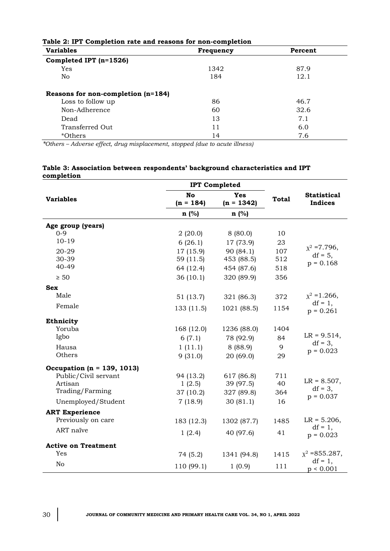| <b>Variables</b>                     | Frequency | Percent |
|--------------------------------------|-----------|---------|
| Completed IPT $(n=1526)$             |           |         |
| Yes                                  | 1342      | 87.9    |
| No.                                  | 184       | 12.1    |
| Reasons for non-completion $(n=184)$ |           |         |
| Loss to follow up                    | 86        | 46.7    |
| Non-Adherence                        | 60        | 32.6    |
| Dead                                 | 13        | 7.1     |
| Transferred Out                      | 11        | 6.0     |
| *Others                              | 14        | 7.6     |

## **Table 2: IPT Completion rate and reasons for non-completion**

*\*Others – Adverse effect, drug misplacement, stopped (due to acute illness)*

|                                |                          | <b>IPT Completed</b>       |              |                               |
|--------------------------------|--------------------------|----------------------------|--------------|-------------------------------|
| <b>Variables</b>               | <b>No</b><br>$(n = 184)$ | <b>Yes</b><br>$(n = 1342)$ | <b>Total</b> | <b>Statistical</b><br>Indices |
|                                | n(%)                     | $n$ (%)                    |              |                               |
| Age group (years)              |                          |                            |              |                               |
| $0 - 9$                        | 2(20.0)                  | 8(80.0)                    | 10           |                               |
| $10-19$                        | 6(26.1)                  | 17 (73.9)                  | 23           |                               |
| 20-29                          | 17(15.9)                 | 90 (84.1)                  | 107          | $x^2 = 7.796$ ,<br>$df = 5$ , |
| 30-39                          | 59 (11.5)                | 453 (88.5)                 | 512          | $p = 0.168$                   |
| 40-49                          | 64 (12.4)                | 454 (87.6)                 | 518          |                               |
| $\geq 50$                      | 36(10.1)                 | 320 (89.9)                 | 356          |                               |
| <b>Sex</b>                     |                          |                            |              |                               |
| Male                           | 51 (13.7)                | 321 (86.3)                 | 372          | $x^2 = 1.266$ ,               |
| Female                         | 133 (11.5)               | 1021 (88.5)                | 1154         | $df = 1$ ,<br>$p = 0.261$     |
| Ethnicity                      |                          |                            |              |                               |
| Yoruba                         | 168 (12.0)               | 1236 (88.0)                | 1404         |                               |
| Igbo                           | 6(7.1)                   | 78 (92.9)                  | 84           | $LR = 9.514,$                 |
| Hausa                          | 1(11.1)                  | 8 (88.9)                   | 9            | $df = 3$ ,<br>$p = 0.023$     |
| Others                         | 9(31.0)                  | 20(69.0)                   | 29           |                               |
| Occupation ( $n = 139, 1013$ ) |                          |                            |              |                               |
| Public/Civil servant           | 94 (13.2)                | 617 (86.8)                 | 711          |                               |
| Artisan                        | 1(2.5)                   | 39 (97.5)                  | 40           | $LR = 8.507$ ,                |
| Trading/Farming                | 37 (10.2)                | 327 (89.8)                 | 364          | $df = 3$ ,<br>$p = 0.037$     |
| Unemployed/Student             | 7(18.9)                  | 30(81.1)                   | 16           |                               |
| <b>ART Experience</b>          |                          |                            |              |                               |
| Previously on care             | 183 (12.3)               | 1302 (87.7)                | 1485         | $LR = 5.206$ ,                |
| ART naïve                      | 1(2.4)                   | 40 (97.6)                  | 41           | $df = 1$ ,<br>$p = 0.023$     |
| <b>Active on Treatment</b>     |                          |                            |              |                               |
| Yes                            | 74 (5.2)                 | 1341 (94.8)                | 1415         | $x^2 = 855.287$ ,             |
| No                             | 110 (99.1)               | 1(0.9)                     | 111          | $df = 1$ ,<br>p < 0.001       |

#### **Table 3: Association between respondents' background characteristics and IPT completion**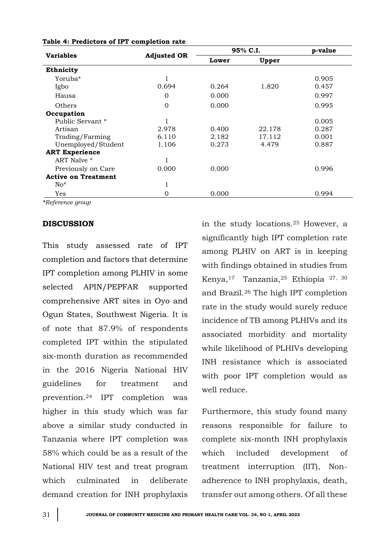| <b>Variables</b>           | <b>Adjusted OR</b> | 95% C.I. |        | p-value |
|----------------------------|--------------------|----------|--------|---------|
|                            |                    | Lower    | Upper  |         |
| Ethnicity                  |                    |          |        |         |
| Yoruba <sup>*</sup>        | 1                  |          |        | 0.905   |
| Igbo                       | 0.694              | 0.264    | 1.820  | 0.457   |
| Hausa                      | $\Omega$           | 0.000    |        | 0.997   |
| Others                     | $\Omega$           | 0.000    |        | 0.995   |
| Occupation                 |                    |          |        |         |
| Public Servant *           |                    |          |        | 0.005   |
| Artisan                    | 2.978              | 0.400    | 22.178 | 0.287   |
| Trading/Farming            | 6.110              | 2.182    | 17.112 | 0.001   |
| Unemployed/Student         | 1.106              | 0.273    | 4.479  | 0.887   |
| <b>ART Experience</b>      |                    |          |        |         |
| ART Naïve *                | 1                  |          |        |         |
| Previously on Care         | 0.000              | 0.000    |        | 0.996   |
| <b>Active on Treatment</b> |                    |          |        |         |
| $No*$                      | 1                  |          |        |         |
| Yes                        | $\Omega$           | 0.000    |        | 0.994   |

#### **Table 4: Predictors of IPT completion rate**

*\*Reference group*

### **DISCUSSION**

This study assessed rate of IPT completion and factors that determine IPT completion among PLHIV in some selected APIN/PEPFAR supported comprehensive ART sites in Oyo and Ogun States, Southwest Nigeria. It is of note that 87.9% of respondents completed IPT within the stipulated six-month duration as recommended in the 2016 Nigeria National HIV guidelines for treatment and prevention.<sup>24</sup> IPT completion was higher in this study which was far above a similar study conducted in Tanzania where IPT completion was 58% which could be as a result of the National HIV test and treat program which culminated in deliberate demand creation for INH prophylaxis

in the study locations.<sup>25</sup> However, a significantly high IPT completion rate among PLHIV on ART is in keeping with findings obtained in studies from Kenya,17 Tanzania,<sup>25</sup> Ethiopia 27, 30 and Brazil.<sup>26</sup> The high IPT completion rate in the study would surely reduce incidence of TB among PLHIVs and its associated morbidity and mortality while likelihood of PLHIVs developing INH resistance which is associated with poor IPT completion would as well reduce.

Furthermore, this study found many reasons responsible for failure to complete six-month INH prophylaxis which included development of treatment interruption (IIT), Nonadherence to INH prophylaxis, death, transfer out among others. Of all these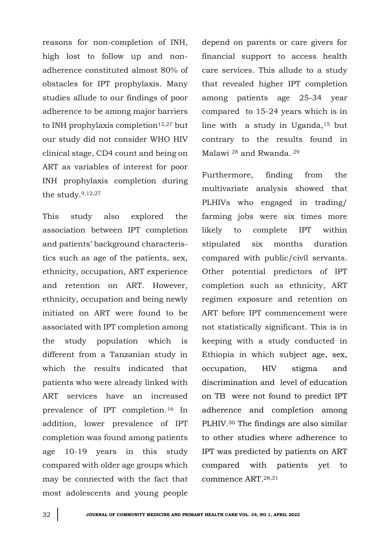reasons for non-completion of INH, high lost to follow up and nonadherence constituted almost 80% of obstacles for IPT prophylaxis. Many studies allude to our findings of poor adherence to be among major barriers to INH prophylaxis completion $12,27$  but our study did not consider WHO HIV clinical stage, CD4 count and being on ART as variables of interest for poor INH prophylaxis completion during the study.9,12,27

This study also explored the association between IPT completion and patients' background characteristics such as age of the patients, sex, ethnicity, occupation, ART experience and retention on ART. However, ethnicity, occupation and being newly initiated on ART were found to be associated with IPT completion among the study population which is different from a Tanzanian study in which the results indicated that patients who were already linked with ART services have an increased prevalence of IPT completion.<sup>16</sup> In addition, lower prevalence of IPT completion was found among patients age 10-19 years in this study compared with older age groups which may be connected with the fact that most adolescents and young people

depend on parents or care givers for financial support to access health care services. This allude to a study that revealed higher IPT completion among patients age 25-34 year compared to 15-24 years which is in line with a study in Uganda,<sup>15</sup> but contrary to the results found in Malawi <sup>28</sup> and Rwanda. <sup>29</sup>

Furthermore, finding from the multivariate analysis showed that PLHIVs who engaged in trading/ farming jobs were six times more likely to complete IPT within stipulated six months duration compared with public/civil servants. Other potential predictors of IPT completion such as ethnicity, ART regimen exposure and retention on ART before IPT commencement were not statistically significant. This is in keeping with a study conducted in Ethiopia in which subject age, sex, occupation, HIV stigma and discrimination and level of education on TB were not found to predict IPT adherence and completion among PLHIV.<sup>30</sup> The findings are also similar to other studies where adherence to IPT was predicted by patients on ART compared with patients yet to commence ART.28,31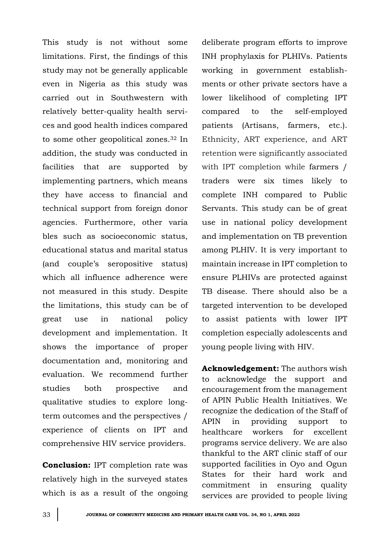This study is not without some limitations. First, the findings of this study may not be generally applicable even in Nigeria as this study was carried out in Southwestern with relatively better-quality health services and good health indices compared to some other geopolitical zones.<sup>32</sup> In addition, the study was conducted in facilities that are supported by implementing partners, which means they have access to financial and technical support from foreign donor agencies. Furthermore, other varia bles such as socioeconomic status, educational status and marital status (and couple's seropositive status) which all influence adherence were not measured in this study. Despite the limitations, this study can be of great use in national policy development and implementation. It shows the importance of proper documentation and, monitoring and evaluation. We recommend further studies both prospective and qualitative studies to explore longterm outcomes and the perspectives / experience of clients on IPT and comprehensive HIV service providers.

**Conclusion:** IPT completion rate was relatively high in the surveyed states which is as a result of the ongoing deliberate program efforts to improve INH prophylaxis for PLHIVs. Patients working in government establishments or other private sectors have a lower likelihood of completing IPT compared to the self-employed patients (Artisans, farmers, etc.). Ethnicity, ART experience, and ART retention were significantly associated with IPT completion while farmers / traders were six times likely to complete INH compared to Public Servants. This study can be of great use in national policy development and implementation on TB prevention among PLHIV. It is very important to maintain increase in IPT completion to ensure PLHIVs are protected against TB disease. There should also be a targeted intervention to be developed to assist patients with lower IPT completion especially adolescents and young people living with HIV.

**Acknowledgement:** The authors wish to acknowledge the support and encouragement from the management of APIN Public Health Initiatives. We recognize the dedication of the Staff of APIN in providing support to healthcare workers for excellent programs service delivery. We are also thankful to the ART clinic staff of our supported facilities in Oyo and Ogun States for their hard work and commitment in ensuring quality services are provided to people living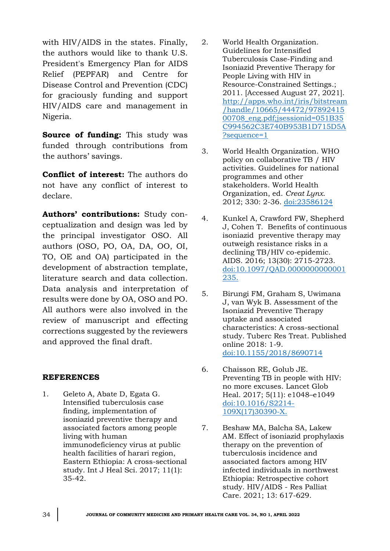with HIV/AIDS in the states. Finally, the authors would like to thank U.S. President's Emergency Plan for AIDS Relief (PEPFAR) and Centre for Disease Control and Prevention (CDC) for graciously funding and support HIV/AIDS care and management in Nigeria.

**Source of funding:** This study was funded through contributions from the authors' savings.

**Conflict of interest:** The authors do not have any conflict of interest to declare.

**Authors' contributions:** Study conceptualization and design was led by the principal investigator OSO. All authors (OSO, PO, OA, DA, OO, OI, TO, OE and OA) participated in the development of abstraction template, literature search and data collection. Data analysis and interpretation of results were done by OA, OSO and PO. All authors were also involved in the review of manuscript and effecting corrections suggested by the reviewers and approved the final draft.

### **REFERENCES**

1. Geleto A, Abate D, Egata G. Intensified tuberculosis case finding, implementation of isoniazid preventive therapy and associated factors among people living with human immunodeficiency virus at public health facilities of harari region, Eastern Ethiopia: A cross-sectional study. Int J Heal Sci. 2017; 11(1): 35-42.

- 2. World Health Organization. Guidelines for Intensified Tuberculosis Case-Finding and Isoniazid Preventive Therapy for People Living with HIV in Resource-Constrained Settings.; 2011. [Accessed August 27, 2021]. [http://apps.who.int/iris/bitstream](http://apps.who.int/iris/bitstream/handle/10665/44472/9789241500708_eng.pdf;jsessionid=051B35C994562C3E740B953B1D715D5A?sequence=1) [/handle/10665/44472/97892415](http://apps.who.int/iris/bitstream/handle/10665/44472/9789241500708_eng.pdf;jsessionid=051B35C994562C3E740B953B1D715D5A?sequence=1) [00708\\_eng.pdf;jsessionid=051B35](http://apps.who.int/iris/bitstream/handle/10665/44472/9789241500708_eng.pdf;jsessionid=051B35C994562C3E740B953B1D715D5A?sequence=1) [C994562C3E740B953B1D715D5A](http://apps.who.int/iris/bitstream/handle/10665/44472/9789241500708_eng.pdf;jsessionid=051B35C994562C3E740B953B1D715D5A?sequence=1) [?sequence=1](http://apps.who.int/iris/bitstream/handle/10665/44472/9789241500708_eng.pdf;jsessionid=051B35C994562C3E740B953B1D715D5A?sequence=1)
- 3. World Health Organization. WHO policy on collaborative TB / HIV activities. Guidelines for national programmes and other stakeholders. World Health Organization, ed. *Creat Lynx*. 2012; 330: 2-36.<doi:23586124>
- 4. [Kunkel](https://pubmed.ncbi.nlm.nih.gov/?term=Kunkel+A&cauthor_id=27782966) A, [Crawford](https://pubmed.ncbi.nlm.nih.gov/?term=Crawford+FW&cauthor_id=27782966) FW, [Shepherd](https://pubmed.ncbi.nlm.nih.gov/?term=Shepherd+J&cauthor_id=27782966) J, [Cohen](https://pubmed.ncbi.nlm.nih.gov/?term=Cohen+T&cauthor_id=27782966) T. Benefits of continuous isoniazid preventive therapy may outweigh resistance risks in a declining TB/HIV co-epidemic. AIDS. 2016; 13(30): 2715-2723. [doi:10.1097/QAD.0000000000001](doi:10.1097/QAD.0000000000001235.) [235.](doi:10.1097/QAD.0000000000001235.)
- 5. Birungi FM, Graham S, Uwimana J, van Wyk B. Assessment of the Isoniazid Preventive Therapy uptake and associated characteristics: A cross-sectional study. Tuberc Res Treat. Published online 2018: 1-9. <doi:10.1155/2018/8690714>
- 6. Chaisson RE, Golub JE. Preventing TB in people with HIV: no more excuses. Lancet Glob Heal. 2017; 5(11): e1048–e1049 [doi:10.1016/S2214-](doi:10.1016/S2214-109X(17)30390-X.) [109X\(17\)30390-X.](doi:10.1016/S2214-109X(17)30390-X.)
- 7. Beshaw MA, Balcha SA, Lakew AM. Effect of isoniazid prophylaxis therapy on the prevention of tuberculosis incidence and associated factors among HIV infected individuals in northwest Ethiopia: Retrospective cohort study. HIV/AIDS - Res Palliat Care. 2021; 13: 617-629.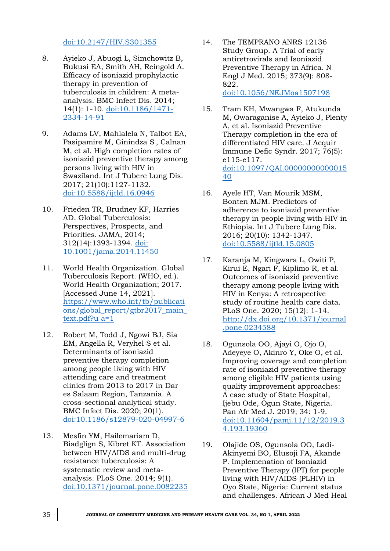#### <doi:10.2147/HIV.S301355>

- 8. Ayieko J, Abuogi L, Simchowitz B, Bukusi EA, Smith AH, Reingold A. Efficacy of isoniazid prophylactic therapy in prevention of tuberculosis in children: A metaanalysis. BMC Infect Dis. 2014; 14(1): 1-10. [doi:10.1186/1471-](doi:10.1186/1471-2334-14-91) [2334-14-91](doi:10.1186/1471-2334-14-91)
- 9. Adams LV, Mahlalela N, Talbot EA, [Pasipamire](https://pubmed.ncbi.nlm.nih.gov/?term=Pasipamire+M&cauthor_id=28911356) M, [Ginindza](https://pubmed.ncbi.nlm.nih.gov/?term=Ginindza+S&cauthor_id=28911356) S , [Calnan](https://pubmed.ncbi.nlm.nih.gov/?term=Calnan+M&cauthor_id=28911356) M, et al. High completion rates of isoniazid preventive therapy among persons living with HIV in Swaziland. Int J Tuberc Lung Dis. 2017; 21(10):1127-1132. <doi:10.5588/ijtld.16.0946>
- 10. Frieden TR, Brudney KF, Harries AD. Global Tuberculosis: Perspectives, Prospects, and Priorities. JAMA, 2014; 312(14):1393-1394. [doi:](doi:%2010.1001/jama.2014.11450)  [10.1001/jama.2014.11450](doi:%2010.1001/jama.2014.11450)
- 11. World Health Organization. Global Tuberculosis Report. (WHO, ed.). World Health Organization; 2017. [Accessed June 14, 2021]. [https://www.who.int/tb/publicati](https://www.who.int/tb/publications/global_report/gtbr2017_main_text.pdf?u%20a=1) [ons/global\\_report/gtbr2017\\_main\\_](https://www.who.int/tb/publications/global_report/gtbr2017_main_text.pdf?u%20a=1) [text.pdf?u a=1](https://www.who.int/tb/publications/global_report/gtbr2017_main_text.pdf?u%20a=1)
- 12. Robert M, Todd J, Ngowi BJ, [Sia](https://pubmed.ncbi.nlm.nih.gov/?term=Msuya+SE&cauthor_id=32276618)  [EM,](https://pubmed.ncbi.nlm.nih.gov/?term=Msuya+SE&cauthor_id=32276618) [Angella R,](https://pubmed.ncbi.nlm.nih.gov/?term=Ramadhani+A&cauthor_id=32276618) [Veryhel S](https://pubmed.ncbi.nlm.nih.gov/?term=Sambu+V&cauthor_id=32276618) et al. Determinants of isoniazid preventive therapy completion among people living with HIV attending care and treatment clinics from 2013 to 2017 in Dar es Salaam Region, Tanzania. A cross-sectional analytical study. BMC Infect Dis. 2020; 20(1). <doi:10.1186/s12879-020-04997-6>
- 13. Mesfin YM, Hailemariam D, Biadglign S, Kibret KT. Association between HIV/AIDS and multi-drug resistance tuberculosis: A systematic review and metaanalysis. PLoS One. 2014; 9(1). <doi:10.1371/journal.pone.0082235>

14. The TEMPRANO ANRS 12136 Study Group. A Trial of early antiretrovirals and Isoniazid Preventive Therapy in Africa. N Engl J Med. 2015; 373(9): 808- 822. <doi:10.1056/NEJMoa1507198>

15. Tram KH, Mwangwa F, Atukunda M, [Owaraganise](https://www.ncbi.nlm.nih.gov/pubmed/?term=OWARAGANISE%20A%5BAuthor%5D&cauthor=true&cauthor_uid=28885271) A, [Ayieko](https://www.ncbi.nlm.nih.gov/pubmed/?term=AYIEKO%20J%5BAuthor%5D&cauthor=true&cauthor_uid=28885271) J, [Plenty](https://www.ncbi.nlm.nih.gov/pubmed/?term=PLENTY%20A%5BAuthor%5D&cauthor=true&cauthor_uid=28885271) A, et al. Isoniazid Preventive Therapy completion in the era of differentiated HIV care. J Acquir Immune Defic Syndr. 2017; 76(5): e115-e117. [doi:10.1097/QAI.00000000000015](doi:10.1097/QAI.0000000000001540) [40](doi:10.1097/QAI.0000000000001540)

- 16. Ayele HT, Van Mourik MSM, Bonten MJM. Predictors of adherence to isoniazid preventive therapy in people living with HIV in Ethiopia. Int J Tuberc Lung Dis. 2016; 20(10): 1342-1347. <doi:10.5588/ijtld.15.0805>
- 17. Karanja M, Kingwara L, Owiti P, Kirui E, Ngari F, Kiplimo R, et al. Outcomes of isoniazid preventive therapy among people living with HIV in Kenya: A retrospective study of routine health care data. PLoS One. 2020; 15(12): 1-14. [http://dx.doi.org/10.1371/journal](http://dx.doi.org/10.1371/journal.pone.0234588) [.pone.0234588](http://dx.doi.org/10.1371/journal.pone.0234588)
- 18. Ogunsola OO, Ajayi O, Ojo O, Adeyeye O, Akinro Y, Oke O, et al. Improving coverage and completion rate of isoniazid preventive therapy among eligible HIV patients using quality improvement approaches: A case study of State Hospital, Ijebu Ode, Ogun State, Nigeria. Pan Afr Med J. 2019; 34: 1-9. [doi:10.11604/pamj.11/12/2019.3](doi:10.11604/pamj.11/12/2019.34.193.19360) [4.193.19360](doi:10.11604/pamj.11/12/2019.34.193.19360)
- 19. Olajide OS, Ogunsola OO, Ladi-Akinyemi BO, Elusoji FA, Akande P. Implemenation of Isoniazid Preventive Therapy (IPT) for people living with HIV/AIDS (PLHIV) in Oyo State, Nigeria: Current status and challenges. African J Med Heal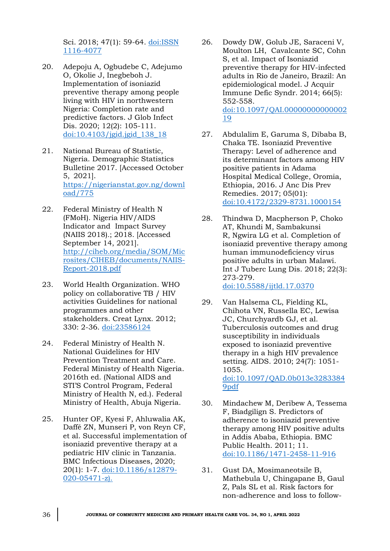Sci. 2018; 47(1): 59-64. doi:ISSN [1116-4077](doi:ISSN%201116-4077)

- 20. Adepoju A, Ogbudebe C, Adejumo O, Okolie J, Inegbeboh J. Implementation of isoniazid preventive therapy among people living with HIV in northwestern Nigeria: Completion rate and predictive factors. J Glob Infect Dis. 2020; 12(2): 105-111. [doi:10.4103/jgid.jgid\\_138\\_18](doi:10.4103/jgid.jgid_138_18)
- 21. National Bureau of Statistic, Nigeria. Demographic Statistics Bulletine 2017. [Accessed October 5, 2021]. [https://nigerianstat.gov.ng/downl](https://nigerianstat.gov.ng/download/775) [oad/775](https://nigerianstat.gov.ng/download/775)
- 22. Federal Ministry of Health N (FMoH). Nigeria HIV/AIDS Indicator and Impact Survey (NAIIS 2018)*.*; 2018. [Accessed September 14, 2021]. [http://ciheb.org/media/SOM/Mic](http://ciheb.org/media/SOM/Microsites/CIHEB/documents/NAIIS-Report-2018.pdf) [rosites/CIHEB/documents/NAIIS-](http://ciheb.org/media/SOM/Microsites/CIHEB/documents/NAIIS-Report-2018.pdf)[Report-2018.pdf](http://ciheb.org/media/SOM/Microsites/CIHEB/documents/NAIIS-Report-2018.pdf)
- 23. World Health Organization. WHO policy on collaborative TB / HIV activities Guidelines for national programmes and other stakeholders. Creat Lynx. 2012; 330: 2-36.<doi:23586124>
- 24. Federal Ministry of Health N. National Guidelines for HIV Prevention Treatment and Care. Federal Ministry of Health Nigeria. 2016th ed. (National AIDS and STI'S Control Program, Federal Ministry of Health N, ed.). Federal Ministry of Health, Abuja Nigeria.
- 25. Hunter OF, Kyesi F, Ahluwalia AK, Daffé ZN, Munseri P, von Reyn CF, et al. Successful implementation of isoniazid preventive therapy at a pediatric HIV clinic in Tanzania. BMC Infectious Diseases, 2020; 20(1): 1-7. [doi:10.1186/s12879-](doi:10.1186/s12879-020-05471-z).) [020-05471-z\).](doi:10.1186/s12879-020-05471-z).)

26. Dowdy DW, Golub JE, Saraceni V, [Moulton](https://pubmed.ncbi.nlm.nih.gov/?term=Moulton+LH&cauthor_id=24853308) LH, [Cavalcante](https://pubmed.ncbi.nlm.nih.gov/?term=Cavalcante+SC&cauthor_id=24853308) SC, [Cohn](https://pubmed.ncbi.nlm.nih.gov/?term=Cohn+S&cauthor_id=24853308) S, et al. Impact of Isoniazid preventive therapy for HIV-infected adults in Rio de Janeiro, Brazil: An epidemiological model. J Acquir Immune Defic Syndr. 2014; 66(5): 552-558.

[doi:10.1097/QAI.00000000000002](doi:10.1097/QAI.0000000000000219) [19](doi:10.1097/QAI.0000000000000219)

- 27. Abdulalim E, Garuma S, Dibaba B, Chaka TE. Isoniazid Preventive Therapy: Level of adherence and its determinant factors among HIV positive patients in Adama Hospital Medical College, Oromia, Ethiopia, 2016. J Anc Dis Prev Remedies. 2017; 05(01): <doi:10.4172/2329-8731.1000154>
- 28. Thindwa D, Macpherson P, Choko AT, [Khundi](https://www.ncbi.nlm.nih.gov/pubmed/?term=Khundi%20M%5BAuthor%5D&cauthor=true&cauthor_uid=29471904) M, [Sambakunsi](https://www.ncbi.nlm.nih.gov/pubmed/?term=Sambakunsi%20R%5BAuthor%5D&cauthor=true&cauthor_uid=29471904) R, [Ngwira](https://www.ncbi.nlm.nih.gov/pubmed/?term=Ngwira%20LG%5BAuthor%5D&cauthor=true&cauthor_uid=29471904) LG et al. Completion of isoniazid preventive therapy among human immunodeficiency virus positive adults in urban Malawi. Int J Tuberc Lung Dis. 2018; 22(3): 273-279. <doi:10.5588/ijtld.17.0370>
- 29. Van Halsema CL, Fielding KL, Chihota VN, Russella EC, Lewisa JC, Churchyardb GJ, et al. Tuberculosis outcomes and drug susceptibility in individuals exposed to isoniazid preventive therapy in a high HIV prevalence setting. AIDS. 2010; 24(7): 1051- 1055. [doi:10.1097/QAD.0b013e3283384](doi:10.1097/QAD.0b013e32833849pdf) [9pdf](doi:10.1097/QAD.0b013e32833849pdf)
- 30. Mindachew M, Deribew A, Tessema F, Biadgilign S. Predictors of adherence to isoniazid preventive therapy among HIV positive adults in Addis Ababa, Ethiopia. BMC Public Health. 2011; 11. <doi:10.1186/1471-2458-11-916>
- 31. Gust DA, Mosimaneotsile B, Mathebula U, Chingapane B, Gaul Z, Pals SL et al. Risk factors for non-adherence and loss to follow-